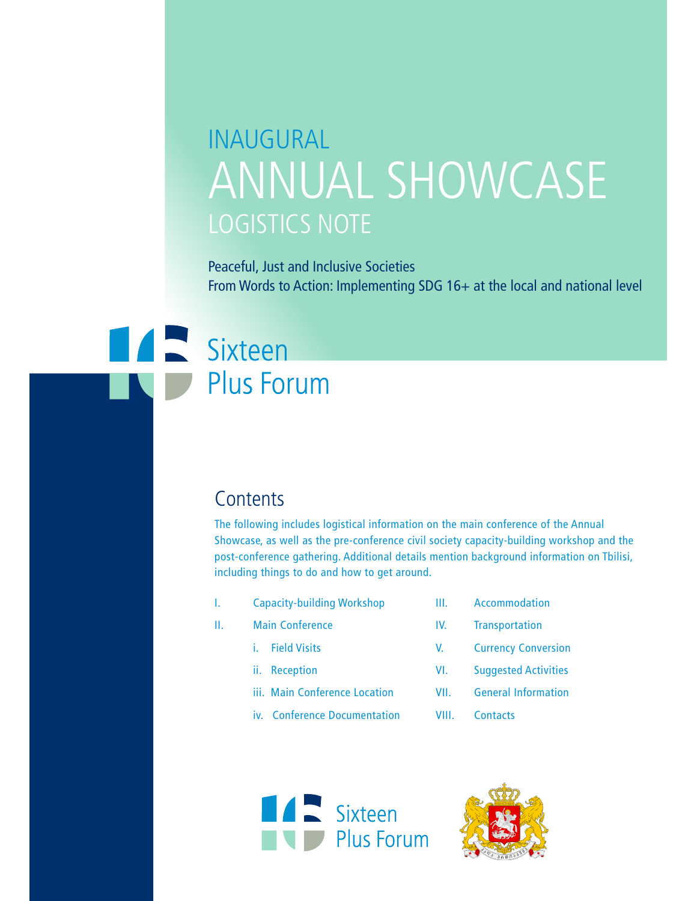# INAUGURAL ANNUAL SHOWCASE LOGISTICS NOTE

Peaceful, Just and Inclusive Societies From Words to Action: Implementing SDG 16+ at the local and national level

# **Extract Sixteen Plus Forum**

### **Contents**

The following includes logistical information on the main conference of the Annual Showcase, as well as the pre-conference civil society capacity-building workshop and the post-conference gathering. Additional details mention background information on Tbilisi, including things to do and how to get around.

- I. Capacity-building Workshop
- II. Main Conference
	- i. Field Visits
	- ii. Reception
	- iii. Main Conference Location iv. Conference Documentation
- III. Accommodation
- IV. Transportation
- V. Currency Conversion
- VI. Suggested Activities
- VII. General Information
- VIII. Contacts



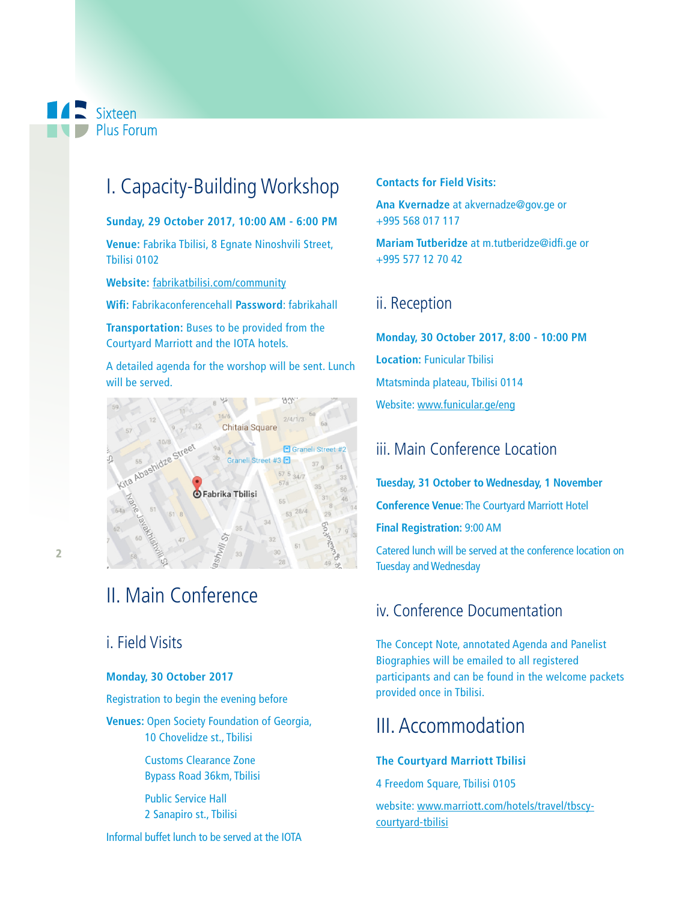Sixteen Plus Forum

# I. Capacity-Building Workshop

**Sunday, 29 October 2017, 10:00 AM - 6:00 PM**

**Venue:** Fabrika Tbilisi, 8 Egnate Ninoshvili Street, Tbilisi 0102

**Website:** fabrikatbilisi.com/community

**Wif:** Fabrikaconferencehall **Password**: fabrikahall

**Transportation:** Buses to be provided from the Courtyard Marriott and the IOTA hotels.

A detailed agenda for the worshop will be sent. Lunch will be served.



## II. Main Conference

### i. Field Visits

#### **Monday, 30 October 2017**

Registration to begin the evening before

**Venues:** Open Society Foundation of Georgia, 10 Chovelidze st., Tbilisi

> Customs Clearance Zone Bypass Road 36km, Tbilisi

Public Service Hall 2 Sanapiro st., Tbilisi

Informal buffet lunch to be served at the IOTA

#### **Contacts for Field Visits:**

**Ana Kvernadze** at akvernadze@gov.ge or +995 568 017 117

**Mariam Tutberidze** at m.tutberidze@idfi.ge or +995 577 12 70 42

### ii. Reception

**Monday, 30 October 2017, 8:00 - 10:00 PM Location:** Funicular Tbilisi Mtatsminda plateau, Tbilisi 0114 Website: www.funicular.ge/eng

### iii. Main Conference Location

**Tuesday, 31 October to Wednesday, 1 November Conference Venue**: The Courtyard Marriott Hotel **Final Registration:** 9:00 AM

Catered lunch will be served at the conference location on Tuesday and Wednesday

### iv. Conference Documentation

The Concept Note, annotated Agenda and Panelist Biographies will be emailed to all registered participants and can be found in the welcome packets provided once in Tbilisi.

### III. Accommodation

#### **The Courtyard Marriott Tbilisi**

4 Freedom Square, Tbilisi 0105

website: www.marriott.com/hotels/travel/tbscycourtyard-tbilisi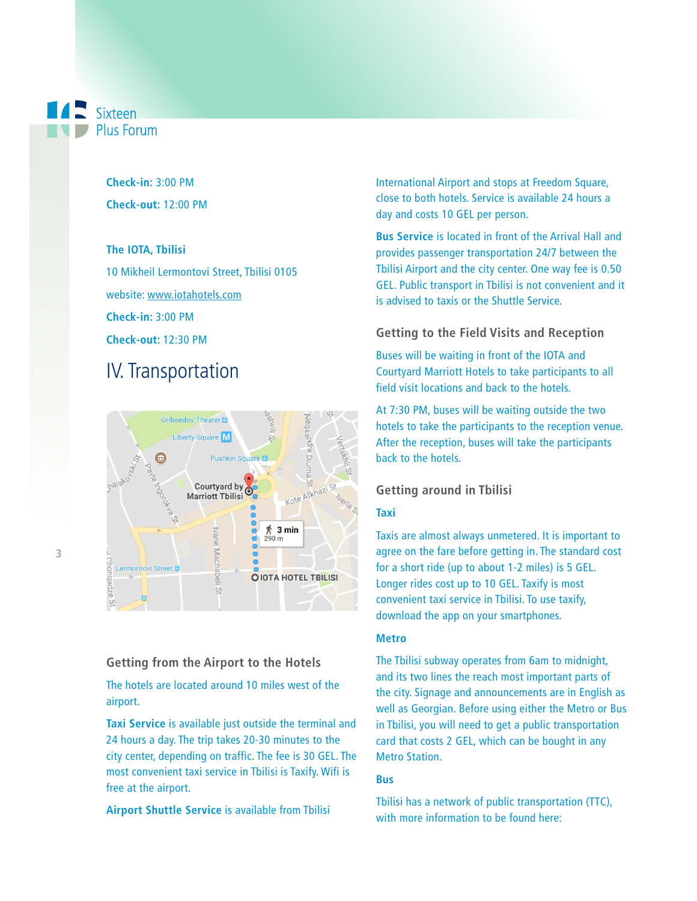Sixteen **Plus Forum** 

> **Check-in:** 3:00 PM **Check-out:** 12:00 PM

#### **The IOTA, Tbilisi**

10 Mikheil Lermontovi Street, Tbilisi 0105 website: www.iotahotels.com **Check-in:** 3:00 PM **Check-out:** 12:30 PM

### IV. Transportation



#### **Getting from the Airport to the Hotels**

The hotels are located around 10 miles west of the airport.

**Taxi Service** is available just outside the terminal and 24 hours a day. The trip takes 20-30 minutes to the city center, depending on traffic. The fee is 30 GEL. The most convenient taxi service in Tbilisi is Taxify. Wifi is free at the airport.

**Airport Shuttle Service** is available from Tbilisi

International Airport and stops at Freedom Square, close to both hotels. Service is available 24 hours a day and costs 10 GEL per person.

**Bus Service** is located in front of the Arrival Hall and provides passenger transportation 24/7 between the Tbilisi Airport and the city center. One way fee is 0.50 GEL. Public transport in Tbilisi is not convenient and it is advised to taxis or the Shuttle Service.

#### **Getting to the Field Visits and Reception**

Buses will be waiting in front of the IOTA and Courtyard Marriott Hotels to take participants to all field visit locations and back to the hotels.

At 7:30 PM, buses will be waiting outside the two hotels to take the participants to the reception venue. After the reception, buses will take the participants back to the hotels.

#### **Getting around in Tbilisi**

#### **Taxi**

Taxis are almost always unmetered. It is important to agree on the fare before getting in. The standard cost for a short ride (up to about 1-2 miles) is 5 GEL. Longer rides cost up to 10 GEL. Taxify is most convenient taxi service in Tbilisi. To use taxify, download the app on your smartphones.

#### **Metro**

The Tbilisi subway operates from 6am to midnight, and its two lines the reach most important parts of the city. Signage and announcements are in English as well as Georgian. Before using either the Metro or Bus in Tbilisi, you will need to get a public transportation card that costs 2 GEL, which can be bought in any Metro Station.

#### **Bus**

Tbilisi has a network of public transportation (TTC), with more information to be found here: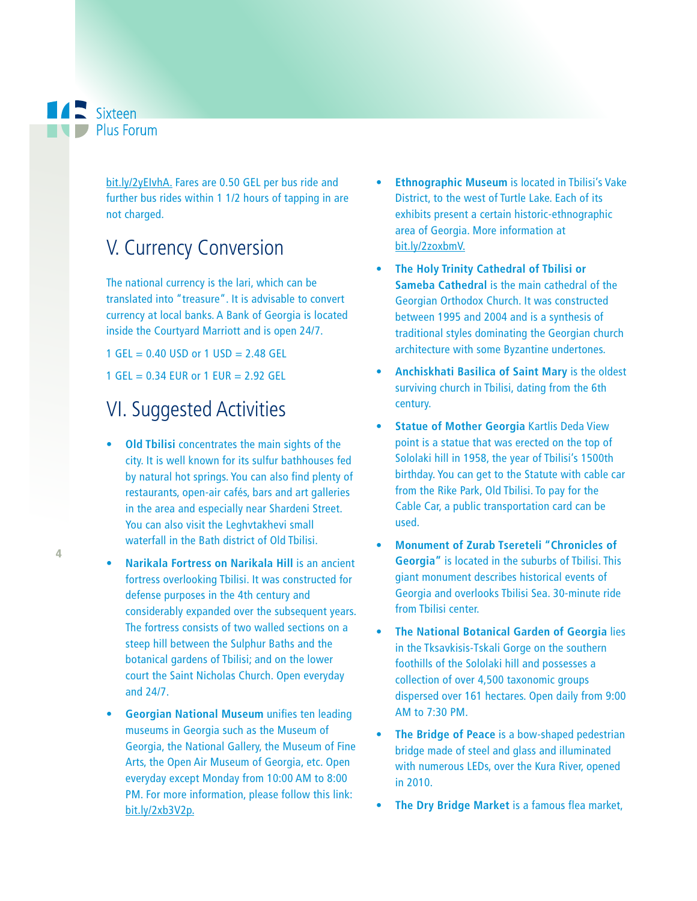**A** Sixteen **D** Plus Forum

> bit.ly/2yEIvhA. Fares are 0.50 GEL per bus ride and further bus rides within 1 1/2 hours of tapping in are not charged.

## V. Currency Conversion

The national currency is the lari, which can be translated into "treasure". It is advisable to convert currency at local banks. A Bank of Georgia is located inside the Courtyard Marriott and is open 24/7.

1 GEL =  $0.40$  USD or 1 USD =  $2.48$  GEL 1 GEL =  $0.34$  EUR or 1 EUR =  $2.92$  GEL

## VI. Suggested Activities

- **Old Tbilisi** concentrates the main sights of the city. It is well known for its sulfur bathhouses fed by natural hot springs. You can also find plenty of restaurants, open-air cafés, bars and art galleries in the area and especially near Shardeni Street. You can also visit the Leghvtakhevi small waterfall in the Bath district of Old Tbilisi.
- **t Narikala Fortress on Narikala Hill** is an ancient fortress overlooking Tbilisi. It was constructed for defense purposes in the 4th century and considerably expanded over the subsequent years. The fortress consists of two walled sections on a steep hill between the Sulphur Baths and the botanical gardens of Tbilisi; and on the lower court the Saint Nicholas Church. Open everyday and 24/7.
- **Georgian National Museum** unifies ten leading museums in Georgia such as the Museum of Georgia, the National Gallery, the Museum of Fine Arts, the Open Air Museum of Georgia, etc. Open everyday except Monday from 10:00 AM to 8:00 PM. For more information, please follow this link: bit.ly/2xb3V2p.
- **Ethnographic Museum** is located in Tbilisi's Vake District, to the west of Turtle Lake. Each of its exhibits present a certain historic-ethnographic area of Georgia. More information at bit.ly/2zoxbmV.
- **t The Holy Trinity Cathedral of Tbilisi or Sameba Cathedral** is the main cathedral of the Georgian Orthodox Church. It was constructed between 1995 and 2004 and is a synthesis of traditional styles dominating the Georgian church architecture with some Byzantine undertones.
- **t Anchiskhati Basilica of Saint Mary** is the oldest surviving church in Tbilisi, dating from the 6th century.
- **t Statue of Mother Georgia** Kartlis Deda View point is a statue that was erected on the top of Sololaki hill in 1958, the year of Tbilisi's 1500th birthday. You can get to the Statute with cable car from the Rike Park, Old Tbilisi. To pay for the Cable Car, a public transportation card can be used.
- **t Monument of Zurab Tsereteli "Chronicles of Georgia"** is located in the suburbs of Tbilisi. This giant monument describes historical events of Georgia and overlooks Tbilisi Sea. 30-minute ride from Tbilisi center.
- **The National Botanical Garden of Georgia lies** in the Tksavkisis-Tskali Gorge on the southern foothills of the Sololaki hill and possesses a collection of over 4,500 taxonomic groups dispersed over 161 hectares. Open daily from 9:00 AM to 7:30 PM.
- **The Bridge of Peace** is a bow-shaped pedestrian bridge made of steel and glass and illuminated with numerous LEDs, over the Kura River, opened in 2010.
- **The Dry Bridge Market** is a famous flea market,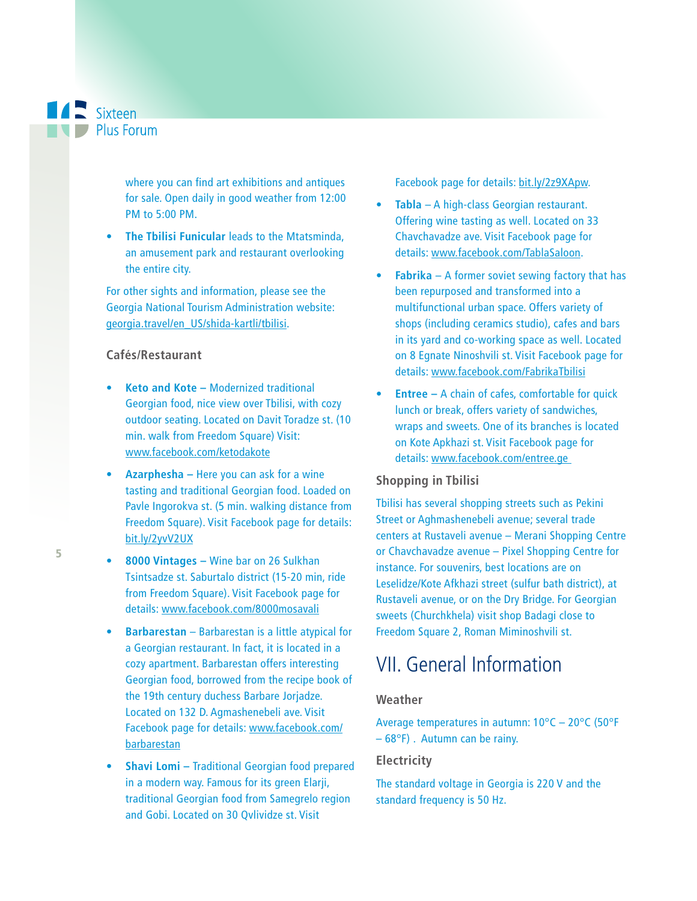

where you can find art exhibitions and antiques for sale. Open daily in good weather from 12:00 PM to 5:00 PM.

**• The Tbilisi Funicular** leads to the Mtatsminda, an amusement park and restaurant overlooking the entire city.

For other sights and information, please see the Georgia National Tourism Administration website: georgia.travel/en\_US/shida-kartli/tbilisi.

#### **Cafés/Restaurant**

- **t Keto and Kote** Modernized traditional Georgian food, nice view over Tbilisi, with cozy outdoor seating. Located on Davit Toradze st. (10 min. walk from Freedom Square) Visit: www.facebook.com/ketodakote
- **t Azarphesha** Here you can ask for a wine tasting and traditional Georgian food. Loaded on Pavle Ingorokva st. (5 min. walking distance from Freedom Square). Visit Facebook page for details: bit.ly/2yvV2UX
- **t 8000 Vintages** Wine bar on 26 Sulkhan Tsintsadze st. Saburtalo district (15-20 min, ride from Freedom Square). Visit Facebook page for details: www.facebook.com/8000mosavali
- **•** Barbarestan Barbarestan is a little atypical for a Georgian restaurant. In fact, it is located in a cozy apartment. Barbarestan offers interesting Georgian food, borrowed from the recipe book of the 19th century duchess Barbare Jorjadze. Located on 132 D. Agmashenebeli ave. Visit Facebook page for details: www.facebook.com/ barbarestan
- **Shavi Lomi Traditional Georgian food prepared** in a modern way. Famous for its green Elarji, traditional Georgian food from Samegrelo region and Gobi. Located on 30 Qvlividze st. Visit

Facebook page for details: bit.ly/2z9XApw.

- **t Tabla**  A high-class Georgian restaurant. Offering wine tasting as well. Located on 33 Chavchavadze ave. Visit Facebook page for details: www.facebook.com/TablaSaloon.
- **Fabrika** A former soviet sewing factory that has been repurposed and transformed into a multifunctional urban space. Offers variety of shops (including ceramics studio), cafes and bars in its yard and co-working space as well. Located on 8 Egnate Ninoshvili st. Visit Facebook page for details: www.facebook.com/FabrikaTbilisi
- **Entree A chain of cafes, comfortable for quick** lunch or break, offers variety of sandwiches, wraps and sweets. One of its branches is located on Kote Apkhazi st. Visit Facebook page for details: www.facebook.com/entree.ge

#### **Shopping in Tbilisi**

Tbilisi has several shopping streets such as Pekini Street or Aghmashenebeli avenue; several trade centers at Rustaveli avenue – Merani Shopping Centre or Chavchavadze avenue – Pixel Shopping Centre for instance. For souvenirs, best locations are on Leselidze/Kote Afkhazi street (sulfur bath district), at Rustaveli avenue, or on the Dry Bridge. For Georgian sweets (Churchkhela) visit shop Badagi close to Freedom Square 2, Roman Miminoshvili st.

## VII. General Information

#### **Weather**

Average temperatures in autumn: 10°C – 20°C (50°F – 68°F) . Autumn can be rainy.

#### **Electricity**

The standard voltage in Georgia is 220 V and the standard frequency is 50 Hz.